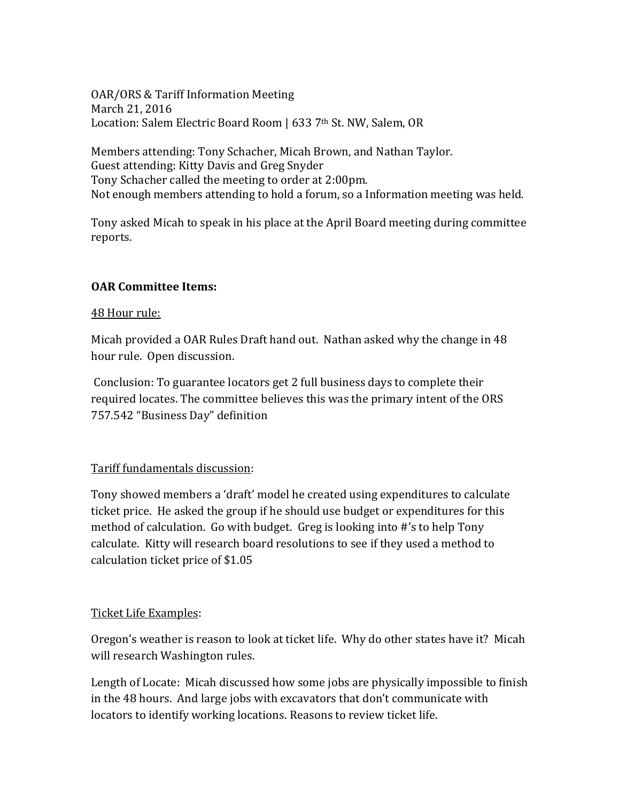OAR/ORS & Tariff Information Meeting March 21, 2016 Location: Salem Electric Board Room | 633 7<sup>th</sup> St. NW, Salem, OR

Members attending: Tony Schacher, Micah Brown, and Nathan Taylor. Guest attending: Kitty Davis and Greg Snyder Tony Schacher called the meeting to order at 2:00pm. Not enough members attending to hold a forum, so a Information meeting was held.

Tony asked Micah to speak in his place at the April Board meeting during committee reports.

## **OAR Committee Items:**

## 48 Hour rule:

Micah provided a OAR Rules Draft hand out. Nathan asked why the change in 48 hour rule. Open discussion.

Conclusion: To guarantee locators get 2 full business days to complete their required locates. The committee believes this was the primary intent of the ORS 757.542 "Business Day" definition

## Tariff fundamentals discussion:

Tony showed members a 'draft' model he created using expenditures to calculate ticket price. He asked the group if he should use budget or expenditures for this method of calculation. Go with budget. Greg is looking into #'s to help Tony calculate. Kitty will research board resolutions to see if they used a method to calculation ticket price of \$1.05

## Ticket Life Examples:

Oregon's weather is reason to look at ticket life. Why do other states have it? Micah will research Washington rules.

Length of Locate: Micah discussed how some jobs are physically impossible to finish in the 48 hours. And large jobs with excavators that don't communicate with locators to identify working locations. Reasons to review ticket life.